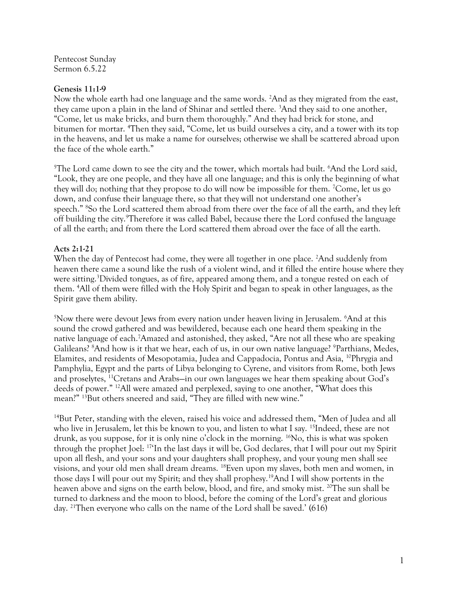Pentecost Sunday Sermon 6.5.22

## **Genesis 11:1-9**

Now the whole earth had one language and the same words. <sup>2</sup>And as they migrated from the east, they came upon a plain in the land of Shinar and settled there. <sup>3</sup>And they said to one another, "Come, let us make bricks, and burn them thoroughly." And they had brick for stone, and bitumen for mortar. <sup>4</sup>Then they said, "Come, let us build ourselves a city, and a tower with its top in the heavens, and let us make a name for ourselves; otherwise we shall be scattered abroad upon the face of the whole earth."

<sup>5</sup>The Lord came down to see the city and the tower, which mortals had built. <sup>6</sup>And the Lord said, "Look, they are one people, and they have all one language; and this is only the beginning of what they will do; nothing that they propose to do will now be impossible for them. <sup>7</sup>Come, let us go down, and confuse their language there, so that they will not understand one another's speech." <sup>8</sup>So the Lord scattered them abroad from there over the face of all the earth, and they left off building the city.<sup>9</sup>Therefore it was called Babel, because there the Lord confused the language of all the earth; and from there the Lord scattered them abroad over the face of all the earth.

## **Acts 2:1-21**

When the day of Pentecost had come, they were all together in one place. <sup>2</sup>And suddenly from heaven there came a sound like the rush of a violent wind, and it filled the entire house where they were sitting.<sup>3</sup>Divided tongues, as of fire, appeared among them, and a tongue rested on each of them. <sup>4</sup>All of them were filled with the Holy Spirit and began to speak in other languages, as the Spirit gave them ability.

<sup>5</sup>Now there were devout Jews from every nation under heaven living in Jerusalem. <sup>6</sup>And at this sound the crowd gathered and was bewildered, because each one heard them speaking in the native language of each.<sup>7</sup>Amazed and astonished, they asked, "Are not all these who are speaking Galileans? <sup>8</sup>And how is it that we hear, each of us, in our own native language? <sup>9</sup>Parthians, Medes, Elamites, and residents of Mesopotamia, Judea and Cappadocia, Pontus and Asia, <sup>10</sup>Phrygia and Pamphylia, Egypt and the parts of Libya belonging to Cyrene, and visitors from Rome, both Jews and proselytes, <sup>11</sup>Cretans and Arabs—in our own languages we hear them speaking about God's deeds of power." <sup>12</sup>All were amazed and perplexed, saying to one another, "What does this mean?" <sup>13</sup>But others sneered and said, "They are filled with new wine."

<sup>14</sup>But Peter, standing with the eleven, raised his voice and addressed them, "Men of Judea and all who live in Jerusalem, let this be known to you, and listen to what I say. <sup>15</sup>Indeed, these are not drunk, as you suppose, for it is only nine o'clock in the morning. <sup>16</sup>No, this is what was spoken through the prophet Joel: <sup>17</sup>'In the last days it will be, God declares, that I will pour out my Spirit upon all flesh, and your sons and your daughters shall prophesy, and your young men shall see visions, and your old men shall dream dreams. <sup>18</sup>Even upon my slaves, both men and women, in those days I will pour out my Spirit; and they shall prophesy.<sup>19</sup>And I will show portents in the heaven above and signs on the earth below, blood, and fire, and smoky mist. <sup>20</sup>The sun shall be turned to darkness and the moon to blood, before the coming of the Lord's great and glorious day. <sup>21</sup>Then everyone who calls on the name of the Lord shall be saved.' (616)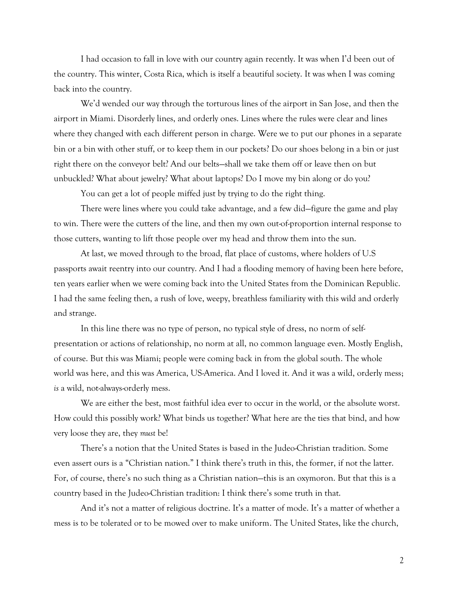I had occasion to fall in love with our country again recently. It was when I'd been out of the country. This winter, Costa Rica, which is itself a beautiful society. It was when I was coming back into the country.

We'd wended our way through the torturous lines of the airport in San Jose, and then the airport in Miami. Disorderly lines, and orderly ones. Lines where the rules were clear and lines where they changed with each different person in charge. Were we to put our phones in a separate bin or a bin with other stuff, or to keep them in our pockets? Do our shoes belong in a bin or just right there on the conveyor belt? And our belts—shall we take them off or leave then on but unbuckled? What about jewelry? What about laptops? Do I move my bin along or do you?

You can get a lot of people miffed just by trying to do the right thing.

There were lines where you could take advantage, and a few did—figure the game and play to win. There were the cutters of the line, and then my own out-of-proportion internal response to those cutters, wanting to lift those people over my head and throw them into the sun.

At last, we moved through to the broad, flat place of customs, where holders of U.S passports await reentry into our country. And I had a flooding memory of having been here before, ten years earlier when we were coming back into the United States from the Dominican Republic. I had the same feeling then, a rush of love, weepy, breathless familiarity with this wild and orderly and strange.

In this line there was no type of person, no typical style of dress, no norm of selfpresentation or actions of relationship, no norm at all, no common language even. Mostly English, of course. But this was Miami; people were coming back in from the global south. The whole world was here, and this was America, US-America. And I loved it. And it was a wild, orderly mess; *is* a wild, not-always-orderly mess.

We are either the best, most faithful idea ever to occur in the world, or the absolute worst. How could this possibly work? What binds us together? What here are the ties that bind, and how very loose they are, they *must* be!

There's a notion that the United States is based in the Judeo-Christian tradition. Some even assert ours is a "Christian nation." I think there's truth in this, the former, if not the latter. For, of course, there's no such thing as a Christian nation—this is an oxymoron. But that this is a country based in the Judeo-Christian tradition: I think there's some truth in that.

And it's not a matter of religious doctrine. It's a matter of mode. It's a matter of whether a mess is to be tolerated or to be mowed over to make uniform. The United States, like the church,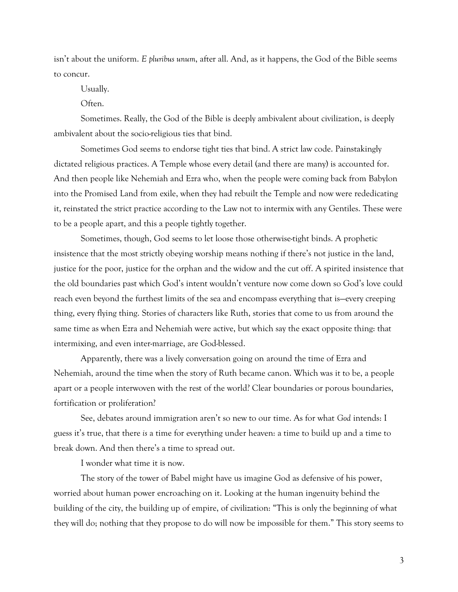isn't about the uniform. *E pluribus unum*, after all. And, as it happens, the God of the Bible seems to concur.

Usually.

Often.

Sometimes. Really, the God of the Bible is deeply ambivalent about civilization, is deeply ambivalent about the socio-religious ties that bind.

Sometimes God seems to endorse tight ties that bind. A strict law code. Painstakingly dictated religious practices. A Temple whose every detail (and there are many) is accounted for. And then people like Nehemiah and Ezra who, when the people were coming back from Babylon into the Promised Land from exile, when they had rebuilt the Temple and now were rededicating it, reinstated the strict practice according to the Law not to intermix with any Gentiles. These were to be a people apart, and this a people tightly together.

Sometimes, though, God seems to let loose those otherwise-tight binds. A prophetic insistence that the most strictly obeying worship means nothing if there's not justice in the land, justice for the poor, justice for the orphan and the widow and the cut off. A spirited insistence that the old boundaries past which God's intent wouldn't venture now come down so God's love could reach even beyond the furthest limits of the sea and encompass everything that is—every creeping thing, every flying thing. Stories of characters like Ruth, stories that come to us from around the same time as when Ezra and Nehemiah were active, but which say the exact opposite thing: that intermixing, and even inter-marriage, are God-blessed.

Apparently, there was a lively conversation going on around the time of Ezra and Nehemiah, around the time when the story of Ruth became canon. Which was it to be, a people apart or a people interwoven with the rest of the world? Clear boundaries or porous boundaries, fortification or proliferation?

See, debates around immigration aren't so new to our time. As for what *God* intends: I guess it's true, that there *is* a time for everything under heaven: a time to build up and a time to break down. And then there's a time to spread out.

I wonder what time it is now.

The story of the tower of Babel might have us imagine God as defensive of his power, worried about human power encroaching on it. Looking at the human ingenuity behind the building of the city, the building up of empire, of civilization: "This is only the beginning of what they will do; nothing that they propose to do will now be impossible for them." This story seems to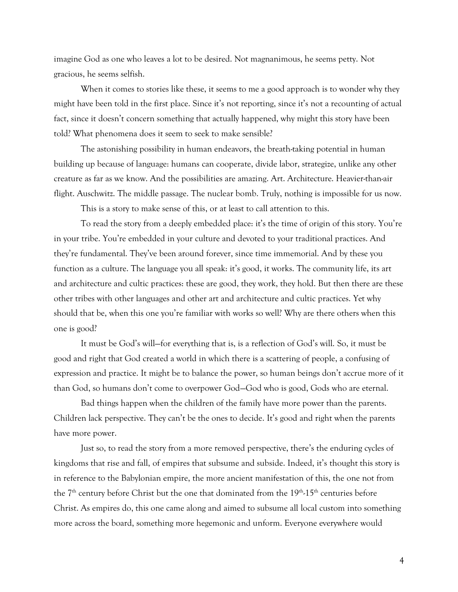imagine God as one who leaves a lot to be desired. Not magnanimous, he seems petty. Not gracious, he seems selfish.

When it comes to stories like these, it seems to me a good approach is to wonder why they might have been told in the first place. Since it's not reporting, since it's not a recounting of actual fact, since it doesn't concern something that actually happened, why might this story have been told? What phenomena does it seem to seek to make sensible?

The astonishing possibility in human endeavors, the breath-taking potential in human building up because of language: humans can cooperate, divide labor, strategize, unlike any other creature as far as we know. And the possibilities are amazing. Art. Architecture. Heavier-than-air flight. Auschwitz. The middle passage. The nuclear bomb. Truly, nothing is impossible for us now.

This is a story to make sense of this, or at least to call attention to this.

To read the story from a deeply embedded place: it's the time of origin of this story. You're in your tribe. You're embedded in your culture and devoted to your traditional practices. And they're fundamental. They've been around forever, since time immemorial. And by these you function as a culture. The language you all speak: it's good, it works. The community life, its art and architecture and cultic practices: these are good, they work, they hold. But then there are these other tribes with other languages and other art and architecture and cultic practices. Yet why should that be, when this one you're familiar with works so well? Why are there others when this one is good?

It must be God's will—for everything that is, is a reflection of God's will. So, it must be good and right that God created a world in which there is a scattering of people, a confusing of expression and practice. It might be to balance the power, so human beings don't accrue more of it than God, so humans don't come to overpower God—God who is good, Gods who are eternal.

Bad things happen when the children of the family have more power than the parents. Children lack perspective. They can't be the ones to decide. It's good and right when the parents have more power.

Just so, to read the story from a more removed perspective, there's the enduring cycles of kingdoms that rise and fall, of empires that subsume and subside. Indeed, it's thought this story is in reference to the Babylonian empire, the more ancient manifestation of this, the one not from the  $7<sup>th</sup>$  century before Christ but the one that dominated from the  $19<sup>th</sup>$ -15<sup>th</sup> centuries before Christ. As empires do, this one came along and aimed to subsume all local custom into something more across the board, something more hegemonic and unform. Everyone everywhere would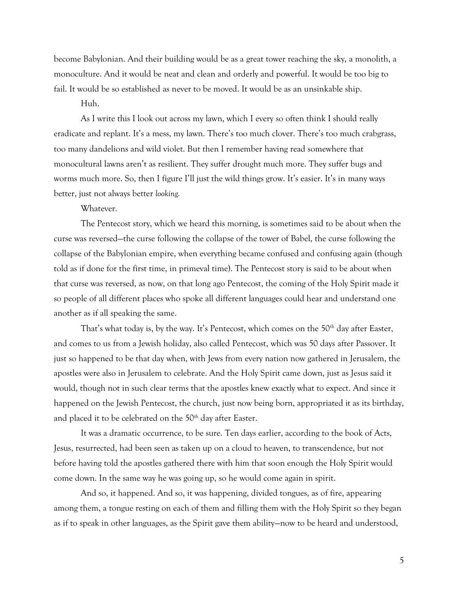become Babylonian. And their building would be as a great tower reaching the sky, a monolith, a monoculture. And it would be neat and clean and orderly and powerful. It would be too big to fail. It would be so established as never to be moved. It would be as an unsinkable ship.

Huh.

As I write this I look out across my lawn, which I every so often think I should really eradicate and replant. It's a mess, my lawn. There's too much clover. There's too much crabgrass, too many dandelions and wild violet. But then I remember having read somewhere that monocultural lawns aren't as resilient. They suffer drought much more. They suffer bugs and worms much more. So, then I figure I'll just the wild things grow. It's easier. It's in many ways better, just not always better *looking.*

Whatever.

The Pentecost story, which we heard this morning, is sometimes said to be about when the curse was reversed—the curse following the collapse of the tower of Babel, the curse following the collapse of the Babylonian empire, when everything became confused and confusing again (though told as if done for the first time, in primeval time). The Pentecost story is said to be about when that curse was reversed, as now, on that long ago Pentecost, the coming of the Holy Spirit made it so people of all different places who spoke all different languages could hear and understand one another as if all speaking the same.

That's what today is, by the way. It's Pentecost, which comes on the  $50<sup>th</sup>$  day after Easter, and comes to us from a Jewish holiday, also called Pentecost, which was 50 days after Passover. It just so happened to be that day when, with Jews from every nation now gathered in Jerusalem, the apostles were also in Jerusalem to celebrate. And the Holy Spirit came down, just as Jesus said it would, though not in such clear terms that the apostles knew exactly what to expect. And since it happened on the Jewish Pentecost, the church, just now being born, appropriated it as its birthday, and placed it to be celebrated on the 50<sup>th</sup> day after Easter.

It was a dramatic occurrence, to be sure. Ten days earlier, according to the book of Acts, Jesus, resurrected, had been seen as taken up on a cloud to heaven, to transcendence, but not before having told the apostles gathered there with him that soon enough the Holy Spirit would come down. In the same way he was going up, so he would come again in spirit.

And so, it happened. And so, it was happening, divided tongues, as of fire, appearing among them, a tongue resting on each of them and filling them with the Holy Spirit so they began as if to speak in other languages, as the Spirit gave them ability—now to be heard and understood,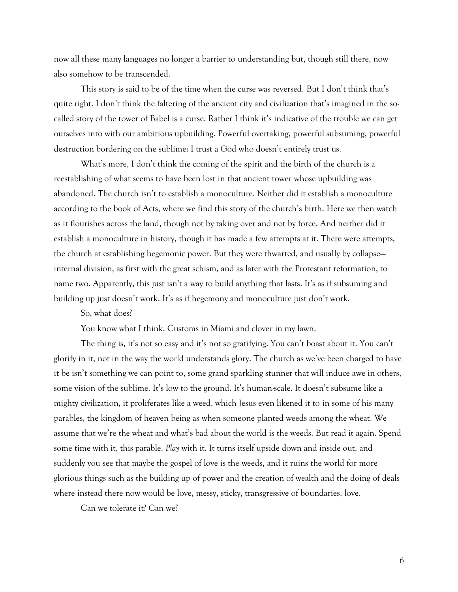now all these many languages no longer a barrier to understanding but, though still there, now also somehow to be transcended.

This story is said to be of the time when the curse was reversed. But I don't think that's quite right. I don't think the faltering of the ancient city and civilization that's imagined in the socalled story of the tower of Babel is a curse. Rather I think it's indicative of the trouble we can get ourselves into with our ambitious upbuilding. Powerful overtaking, powerful subsuming, powerful destruction bordering on the sublime: I trust a God who doesn't entirely trust us.

What's more, I don't think the coming of the spirit and the birth of the church is a reestablishing of what seems to have been lost in that ancient tower whose upbuilding was abandoned. The church isn't to establish a monoculture. Neither did it establish a monoculture according to the book of Acts, where we find this story of the church's birth. Here we then watch as it flourishes across the land, though not by taking over and not by force. And neither did it establish a monoculture in history, though it has made a few attempts at it. There were attempts, the church at establishing hegemonic power. But they were thwarted, and usually by collapse internal division, as first with the great schism, and as later with the Protestant reformation, to name two. Apparently, this just isn't a way to build anything that lasts. It's as if subsuming and building up just doesn't work. It's as if hegemony and monoculture just don't work.

So, what does?

You know what I think. Customs in Miami and clover in my lawn.

The thing is, it's not so easy and it's not so gratifying. You can't boast about it. You can't glorify in it, not in the way the world understands glory. The church as we've been charged to have it be isn't something we can point to, some grand sparkling stunner that will induce awe in others, some vision of the sublime. It's low to the ground. It's human-scale. It doesn't subsume like a mighty civilization, it proliferates like a weed, which Jesus even likened it to in some of his many parables, the kingdom of heaven being as when someone planted weeds among the wheat. We assume that we're the wheat and what's bad about the world is the weeds. But read it again. Spend some time with it, this parable. *Play* with it. It turns itself upside down and inside out, and suddenly you see that maybe the gospel of love is the weeds, and it ruins the world for more glorious things such as the building up of power and the creation of wealth and the doing of deals where instead there now would be love, messy, sticky, transgressive of boundaries, love.

Can we tolerate it? Can we?